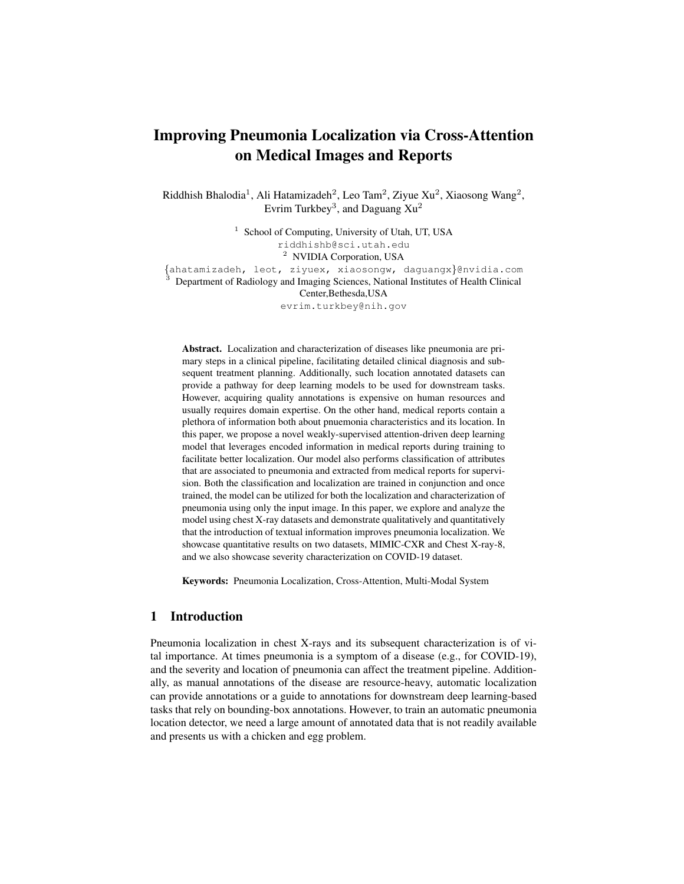# Improving Pneumonia Localization via Cross-Attention on Medical Images and Reports

Riddhish Bhalodia<sup>1</sup>, Ali Hatamizadeh<sup>2</sup>, Leo Tam<sup>2</sup>, Ziyue Xu<sup>2</sup>, Xiaosong Wang<sup>2</sup>, Evrim Turkbey<sup>3</sup>, and Daguang  $Xu^2$ 

<sup>1</sup> School of Computing, University of Utah, UT, USA

riddhishb@sci.utah.edu

<sup>2</sup> NVIDIA Corporation, USA

{ahatamizadeh, leot, ziyuex, xiaosongw, daguangx}@nvidia.com <sup>3</sup> Department of Radiology and Imaging Sciences, National Institutes of Health Clinical

Center,Bethesda,USA

evrim.turkbey@nih.gov

Abstract. Localization and characterization of diseases like pneumonia are primary steps in a clinical pipeline, facilitating detailed clinical diagnosis and subsequent treatment planning. Additionally, such location annotated datasets can provide a pathway for deep learning models to be used for downstream tasks. However, acquiring quality annotations is expensive on human resources and usually requires domain expertise. On the other hand, medical reports contain a plethora of information both about pnuemonia characteristics and its location. In this paper, we propose a novel weakly-supervised attention-driven deep learning model that leverages encoded information in medical reports during training to facilitate better localization. Our model also performs classification of attributes that are associated to pneumonia and extracted from medical reports for supervision. Both the classification and localization are trained in conjunction and once trained, the model can be utilized for both the localization and characterization of pneumonia using only the input image. In this paper, we explore and analyze the model using chest X-ray datasets and demonstrate qualitatively and quantitatively that the introduction of textual information improves pneumonia localization. We showcase quantitative results on two datasets, MIMIC-CXR and Chest X-ray-8, and we also showcase severity characterization on COVID-19 dataset.

Keywords: Pneumonia Localization, Cross-Attention, Multi-Modal System

# 1 Introduction

Pneumonia localization in chest X-rays and its subsequent characterization is of vital importance. At times pneumonia is a symptom of a disease (e.g., for COVID-19), and the severity and location of pneumonia can affect the treatment pipeline. Additionally, as manual annotations of the disease are resource-heavy, automatic localization can provide annotations or a guide to annotations for downstream deep learning-based tasks that rely on bounding-box annotations. However, to train an automatic pneumonia location detector, we need a large amount of annotated data that is not readily available and presents us with a chicken and egg problem.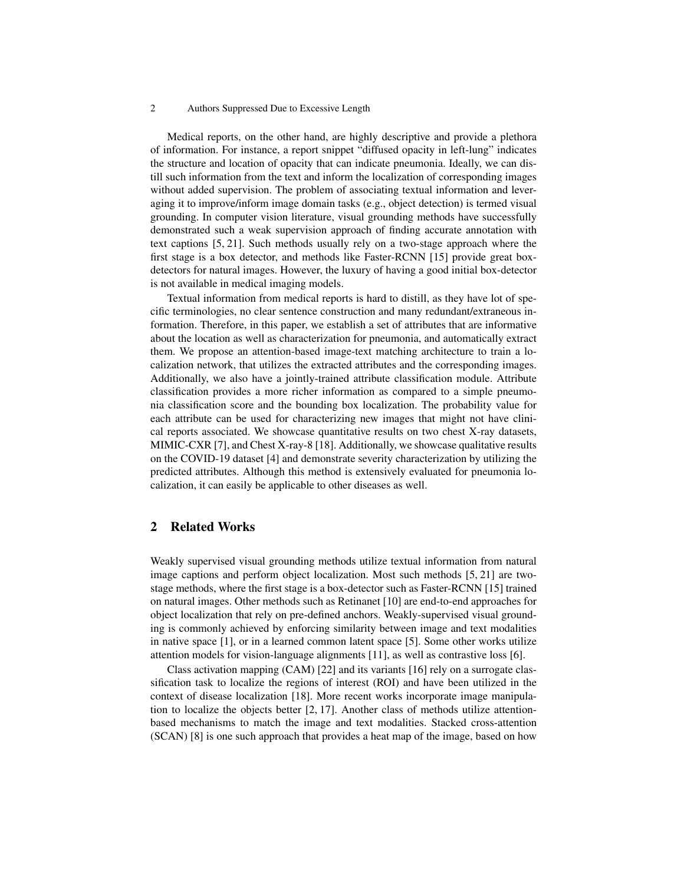Medical reports, on the other hand, are highly descriptive and provide a plethora of information. For instance, a report snippet "diffused opacity in left-lung" indicates the structure and location of opacity that can indicate pneumonia. Ideally, we can distill such information from the text and inform the localization of corresponding images without added supervision. The problem of associating textual information and leveraging it to improve/inform image domain tasks (e.g., object detection) is termed visual grounding. In computer vision literature, visual grounding methods have successfully demonstrated such a weak supervision approach of finding accurate annotation with text captions [5, 21]. Such methods usually rely on a two-stage approach where the first stage is a box detector, and methods like Faster-RCNN [15] provide great boxdetectors for natural images. However, the luxury of having a good initial box-detector is not available in medical imaging models.

Textual information from medical reports is hard to distill, as they have lot of specific terminologies, no clear sentence construction and many redundant/extraneous information. Therefore, in this paper, we establish a set of attributes that are informative about the location as well as characterization for pneumonia, and automatically extract them. We propose an attention-based image-text matching architecture to train a localization network, that utilizes the extracted attributes and the corresponding images. Additionally, we also have a jointly-trained attribute classification module. Attribute classification provides a more richer information as compared to a simple pneumonia classification score and the bounding box localization. The probability value for each attribute can be used for characterizing new images that might not have clinical reports associated. We showcase quantitative results on two chest X-ray datasets, MIMIC-CXR [7], and Chest X-ray-8 [18]. Additionally, we showcase qualitative results on the COVID-19 dataset [4] and demonstrate severity characterization by utilizing the predicted attributes. Although this method is extensively evaluated for pneumonia localization, it can easily be applicable to other diseases as well.

# 2 Related Works

Weakly supervised visual grounding methods utilize textual information from natural image captions and perform object localization. Most such methods [5, 21] are twostage methods, where the first stage is a box-detector such as Faster-RCNN [15] trained on natural images. Other methods such as Retinanet [10] are end-to-end approaches for object localization that rely on pre-defined anchors. Weakly-supervised visual grounding is commonly achieved by enforcing similarity between image and text modalities in native space [1], or in a learned common latent space [5]. Some other works utilize attention models for vision-language alignments [11], as well as contrastive loss [6].

Class activation mapping (CAM) [22] and its variants [16] rely on a surrogate classification task to localize the regions of interest (ROI) and have been utilized in the context of disease localization [18]. More recent works incorporate image manipulation to localize the objects better  $[2, 17]$ . Another class of methods utilize attentionbased mechanisms to match the image and text modalities. Stacked cross-attention (SCAN) [8] is one such approach that provides a heat map of the image, based on how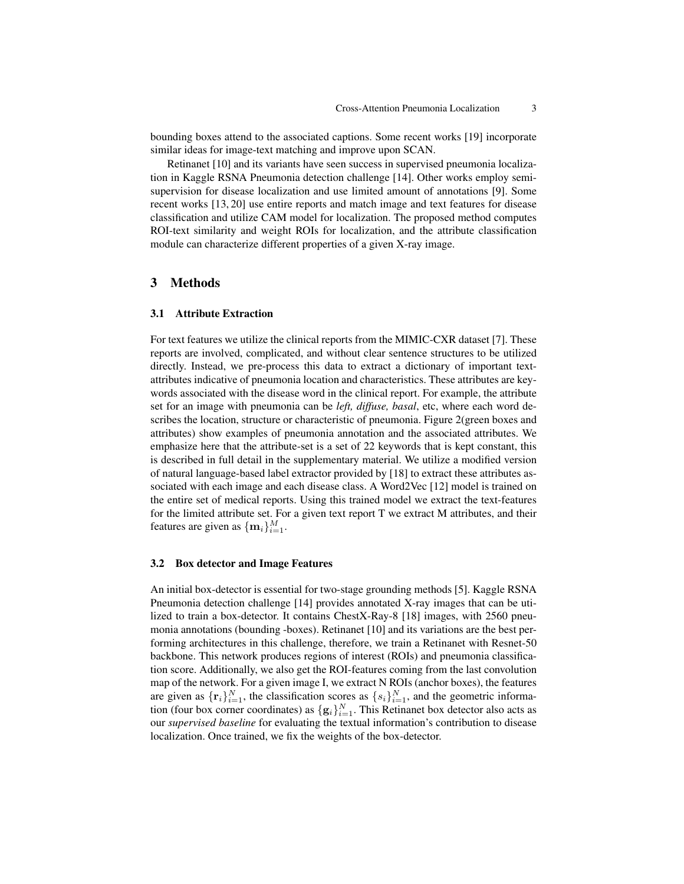bounding boxes attend to the associated captions. Some recent works [19] incorporate similar ideas for image-text matching and improve upon SCAN.

Retinanet [10] and its variants have seen success in supervised pneumonia localization in Kaggle RSNA Pneumonia detection challenge [14]. Other works employ semisupervision for disease localization and use limited amount of annotations [9]. Some recent works [13, 20] use entire reports and match image and text features for disease classification and utilize CAM model for localization. The proposed method computes ROI-text similarity and weight ROIs for localization, and the attribute classification module can characterize different properties of a given X-ray image.

## 3 Methods

## 3.1 Attribute Extraction

For text features we utilize the clinical reports from the MIMIC-CXR dataset [7]. These reports are involved, complicated, and without clear sentence structures to be utilized directly. Instead, we pre-process this data to extract a dictionary of important textattributes indicative of pneumonia location and characteristics. These attributes are keywords associated with the disease word in the clinical report. For example, the attribute set for an image with pneumonia can be *left, diffuse, basal*, etc, where each word describes the location, structure or characteristic of pneumonia. Figure 2(green boxes and attributes) show examples of pneumonia annotation and the associated attributes. We emphasize here that the attribute-set is a set of 22 keywords that is kept constant, this is described in full detail in the supplementary material. We utilize a modified version of natural language-based label extractor provided by [18] to extract these attributes associated with each image and each disease class. A Word2Vec [12] model is trained on the entire set of medical reports. Using this trained model we extract the text-features for the limited attribute set. For a given text report T we extract M attributes, and their features are given as  ${\{\mathbf{m}_i\}}_{i=1}^{M}$ .

### 3.2 Box detector and Image Features

An initial box-detector is essential for two-stage grounding methods [5]. Kaggle RSNA Pneumonia detection challenge [14] provides annotated X-ray images that can be utilized to train a box-detector. It contains ChestX-Ray-8 [18] images, with 2560 pneumonia annotations (bounding -boxes). Retinanet [10] and its variations are the best performing architectures in this challenge, therefore, we train a Retinanet with Resnet-50 backbone. This network produces regions of interest (ROIs) and pneumonia classification score. Additionally, we also get the ROI-features coming from the last convolution map of the network. For a given image I, we extract N ROIs (anchor boxes), the features are given as  $\{r_i\}_{i=1}^N$ , the classification scores as  $\{s_i\}_{i=1}^N$ , and the geometric information (four box corner coordinates) as  $\{g_i\}_{i=1}^N$ . This Retinanet box detector also acts as our *supervised baseline* for evaluating the textual information's contribution to disease localization. Once trained, we fix the weights of the box-detector.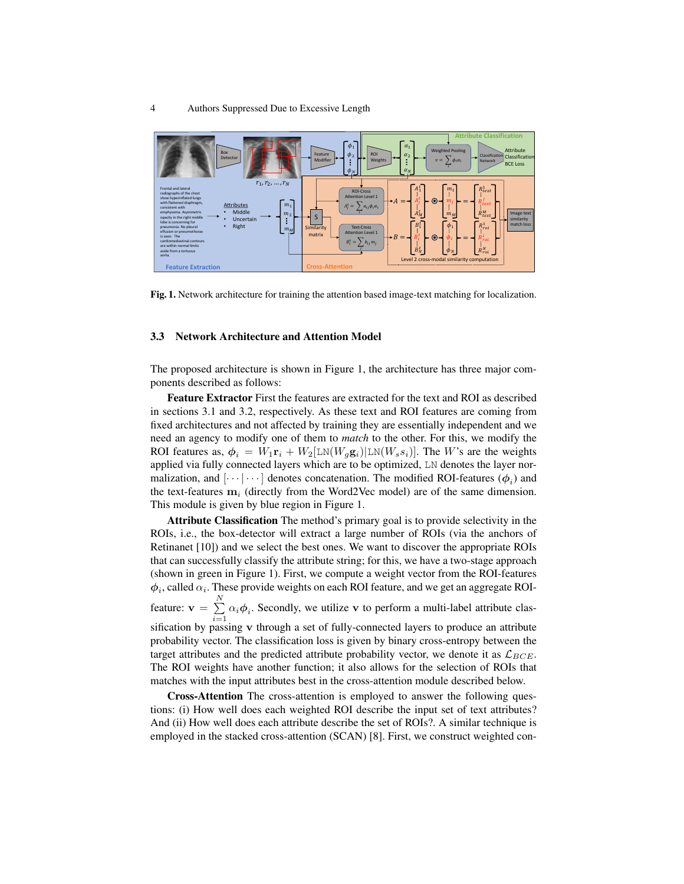

Fig. 1. Network architecture for training the attention based image-text matching for localization.

### 3.3 Network Architecture and Attention Model

The proposed architecture is shown in Figure 1, the architecture has three major components described as follows:

Feature Extractor First the features are extracted for the text and ROI as described in sections 3.1 and 3.2, respectively. As these text and ROI features are coming from fixed architectures and not affected by training they are essentially independent and we need an agency to modify one of them to *match* to the other. For this, we modify the ROI features as,  $\phi_i = W_1 \mathbf{r}_i + W_2[\text{LN}(W_g \mathbf{g}_i)|\text{LN}(W_s s_i)]$ . The W's are the weights applied via fully connected layers which are to be optimized, LN denotes the layer normalization, and  $[\cdots | \cdots]$  denotes concatenation. The modified ROI-features  $(\phi_i)$  and the text-features  $m_i$  (directly from the Word2Vec model) are of the same dimension. This module is given by blue region in Figure 1.

Attribute Classification The method's primary goal is to provide selectivity in the ROIs, i.e., the box-detector will extract a large number of ROIs (via the anchors of Retinanet [10]) and we select the best ones. We want to discover the appropriate ROIs that can successfully classify the attribute string; for this, we have a two-stage approach (shown in green in Figure 1). First, we compute a weight vector from the ROI-features  $\phi_i$ , called  $\alpha_i$ . These provide weights on each ROI feature, and we get an aggregate ROIfeature:  $\mathbf{v} = \sum_{i=1}^{N}$  $\sum_{i=1} \alpha_i \phi_i$ . Secondly, we utilize v to perform a multi-label attribute classification by passing v through a set of fully-connected layers to produce an attribute probability vector. The classification loss is given by binary cross-entropy between the target attributes and the predicted attribute probability vector, we denote it as  $\mathcal{L}_{BCE}$ . The ROI weights have another function; it also allows for the selection of ROIs that matches with the input attributes best in the cross-attention module described below.

Cross-Attention The cross-attention is employed to answer the following questions: (i) How well does each weighted ROI describe the input set of text attributes? And (ii) How well does each attribute describe the set of ROIs?. A similar technique is employed in the stacked cross-attention (SCAN) [8]. First, we construct weighted con-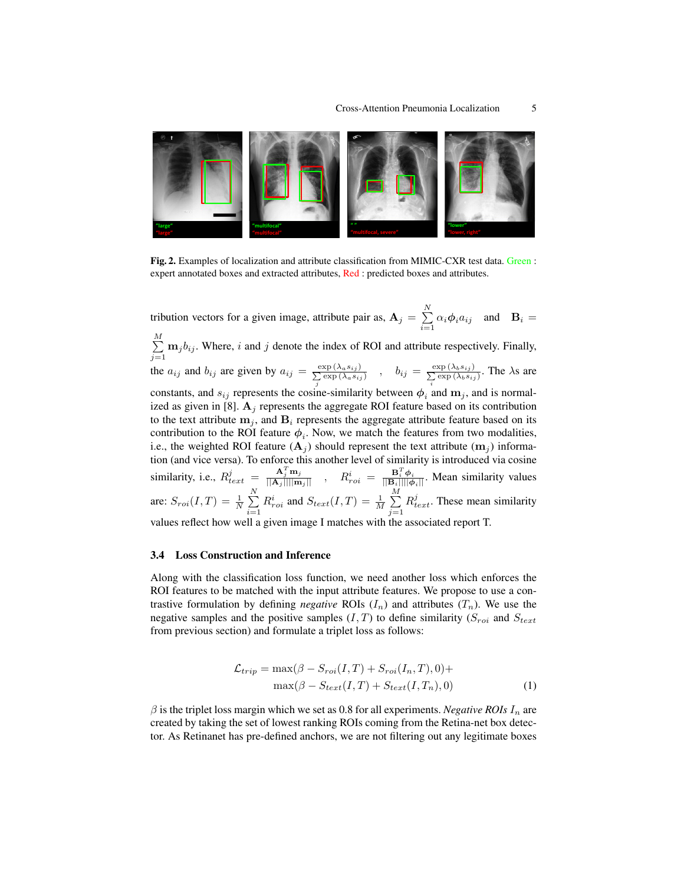

Fig. 2. Examples of localization and attribute classification from MIMIC-CXR test data. Green : expert annotated boxes and extracted attributes, Red : predicted boxes and attributes.

tribution vectors for a given image, attribute pair as,  $\mathbf{A}_j = \sum^N$  $\sum_{i=1} \alpha_i \phi_i a_{ij}$  and  $\mathbf{B}_i =$ 

 $\sum_{ }^{M}$  $\sum_{j=1}$  m<sub>j</sub>b<sub>ij</sub>. Where, i and j denote the index of ROI and attribute respectively. Finally, the  $a_{ij}$  and  $b_{ij}$  are given by  $a_{ij} = \frac{\exp{(\lambda_a s_{ij})}}{\sum \exp{(\lambda_a s_{ij})}}$  $\frac{\exp{(\lambda_a s_{ij})}}{\sum\limits_j \exp{(\lambda_a s_{ij})}}$  ,  $b_{ij} = \frac{\exp{(\lambda_b s_{ij})}}{\sum\limits_i \exp{(\lambda_b s_{ij})}}$  $\frac{\exp{(\lambda_b s_{ij})}}{\sum_i \exp{(\lambda_b s_{ij})}}$ . The  $\lambda$ s are constants, and  $s_{ij}$  represents the cosine-similarity between  $\phi_i$  and  $\mathbf{m}_j$ , and is normalized as given in [8].  $A_j$  represents the aggregate ROI feature based on its contribution to the text attribute  $m_j$ , and  $B_i$  represents the aggregate attribute feature based on its contribution to the ROI feature  $\phi_i$ . Now, we match the features from two modalities, i.e., the weighted ROI feature  $(A_i)$  should represent the text attribute  $(m_i)$  information (and vice versa). To enforce this another level of similarity is introduced via cosine similarity, i.e.,  $R_{text}^{j} = \frac{\mathbf{A}_{j}^{T} \mathbf{m}_{j}}{||\mathbf{A}_{j}|| ||\mathbf{m}_{j}||}$ ,  $R_{roi}^{i} = \frac{\mathbf{B}_{i}^{T} \boldsymbol{\phi}_{i}}{||\mathbf{B}_{i}|| ||\boldsymbol{\phi}_{i}||}$  $\frac{\mathbf{B}_i \ \boldsymbol{\phi}_i}{\|\mathbf{B}_i\| \|\boldsymbol{\phi}_i\|}$ . Mean similarity values are:  $S_{roi}(I, T) = \frac{1}{N} \sum_{i=1}^{N}$  $i=1$  $R_{roi}^i$  and  $S_{text}(I, T) = \frac{1}{M} \sum_{i=1}^{M}$  $j=1$  $R_{text}^{j}$ . These mean similarity values reflect how well a given image I matches with the associated report T.

#### 3.4 Loss Construction and Inference

Along with the classification loss function, we need another loss which enforces the ROI features to be matched with the input attribute features. We propose to use a contrastive formulation by defining *negative* ROIs  $(I_n)$  and attributes  $(T_n)$ . We use the negative samples and the positive samples  $(I, T)$  to define similarity  $(S_{roi}$  and  $S_{text}$ from previous section) and formulate a triplet loss as follows:

$$
\mathcal{L}_{trip} = \max(\beta - S_{roi}(I, T) + S_{roi}(I_n, T), 0) +
$$

$$
\max(\beta - S_{text}(I, T) + S_{text}(I, T_n), 0)
$$
(1)

 $\beta$  is the triplet loss margin which we set as 0.8 for all experiments. *Negative ROIs*  $I_n$  are created by taking the set of lowest ranking ROIs coming from the Retina-net box detector. As Retinanet has pre-defined anchors, we are not filtering out any legitimate boxes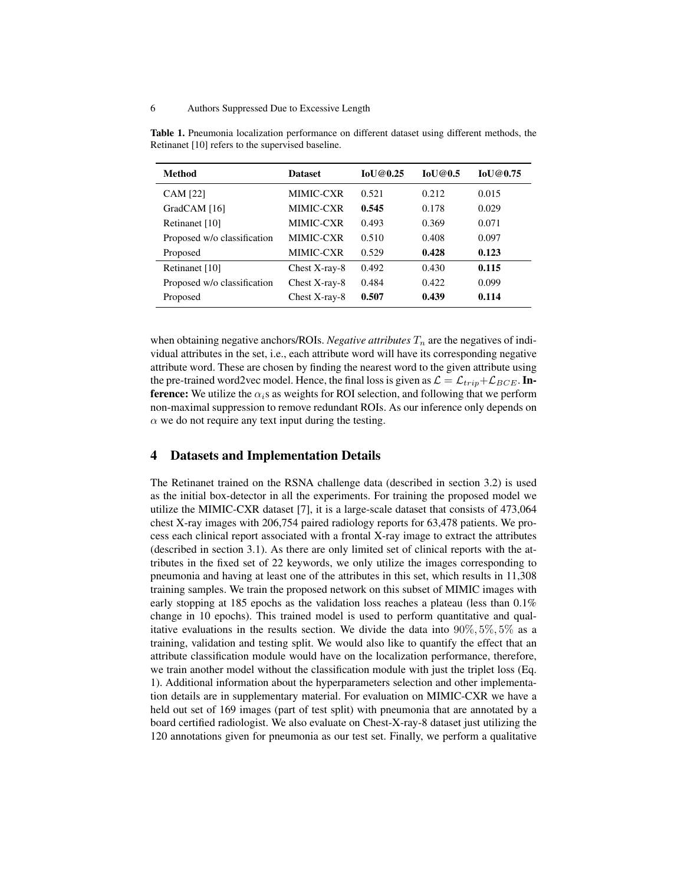| <b>Method</b>               | <b>Dataset</b>   | IoU@0.25 | IoU@0.5 | IoU@0.75 |
|-----------------------------|------------------|----------|---------|----------|
| CAM [22]                    | <b>MIMIC-CXR</b> | 0.521    | 0.212   | 0.015    |
| GradCAM [16]                | MIMIC-CXR        | 0.545    | 0.178   | 0.029    |
| Retinanet [10]              | MIMIC-CXR        | 0.493    | 0.369   | 0.071    |
| Proposed w/o classification | <b>MIMIC-CXR</b> | 0.510    | 0.408   | 0.097    |
| Proposed                    | <b>MIMIC-CXR</b> | 0.529    | 0.428   | 0.123    |
| Retinanet [10]              | Chest $X$ -ray-8 | 0.492    | 0.430   | 0.115    |
| Proposed w/o classification | Chest $X$ -ray-8 | 0.484    | 0.422   | 0.099    |
| Proposed                    | Chest $X$ -ray-8 | 0.507    | 0.439   | 0.114    |

Table 1. Pneumonia localization performance on different dataset using different methods, the Retinanet [10] refers to the supervised baseline.

when obtaining negative anchors/ROIs. *Negative attributes*  $T_n$  are the negatives of individual attributes in the set, i.e., each attribute word will have its corresponding negative attribute word. These are chosen by finding the nearest word to the given attribute using the pre-trained word2vec model. Hence, the final loss is given as  $\mathcal{L} = \mathcal{L}_{trip} + \mathcal{L}_{BCE}$ . In**ference:** We utilize the  $\alpha_i$ s as weights for ROI selection, and following that we perform non-maximal suppression to remove redundant ROIs. As our inference only depends on  $\alpha$  we do not require any text input during the testing.

# 4 Datasets and Implementation Details

The Retinanet trained on the RSNA challenge data (described in section 3.2) is used as the initial box-detector in all the experiments. For training the proposed model we utilize the MIMIC-CXR dataset [7], it is a large-scale dataset that consists of 473,064 chest X-ray images with 206,754 paired radiology reports for 63,478 patients. We process each clinical report associated with a frontal X-ray image to extract the attributes (described in section 3.1). As there are only limited set of clinical reports with the attributes in the fixed set of 22 keywords, we only utilize the images corresponding to pneumonia and having at least one of the attributes in this set, which results in 11,308 training samples. We train the proposed network on this subset of MIMIC images with early stopping at 185 epochs as the validation loss reaches a plateau (less than 0.1% change in 10 epochs). This trained model is used to perform quantitative and qualitative evaluations in the results section. We divide the data into  $90\%, 5\%, 5\%$  as a training, validation and testing split. We would also like to quantify the effect that an attribute classification module would have on the localization performance, therefore, we train another model without the classification module with just the triplet loss (Eq. 1). Additional information about the hyperparameters selection and other implementation details are in supplementary material. For evaluation on MIMIC-CXR we have a held out set of 169 images (part of test split) with pneumonia that are annotated by a board certified radiologist. We also evaluate on Chest-X-ray-8 dataset just utilizing the 120 annotations given for pneumonia as our test set. Finally, we perform a qualitative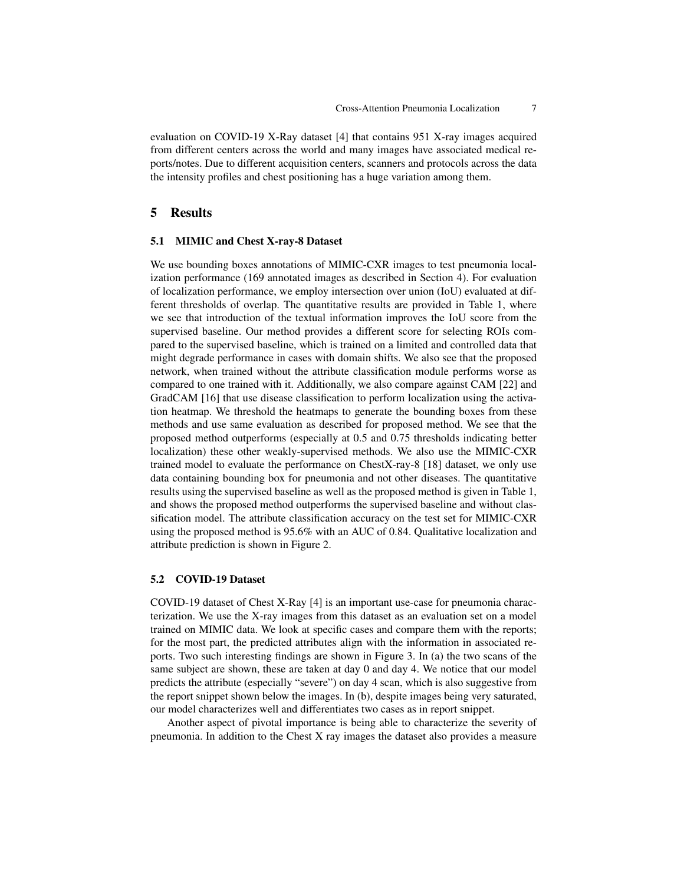evaluation on COVID-19 X-Ray dataset [4] that contains 951 X-ray images acquired from different centers across the world and many images have associated medical reports/notes. Due to different acquisition centers, scanners and protocols across the data the intensity profiles and chest positioning has a huge variation among them.

## 5 Results

## 5.1 MIMIC and Chest X-ray-8 Dataset

We use bounding boxes annotations of MIMIC-CXR images to test pneumonia localization performance (169 annotated images as described in Section 4). For evaluation of localization performance, we employ intersection over union (IoU) evaluated at different thresholds of overlap. The quantitative results are provided in Table 1, where we see that introduction of the textual information improves the IoU score from the supervised baseline. Our method provides a different score for selecting ROIs compared to the supervised baseline, which is trained on a limited and controlled data that might degrade performance in cases with domain shifts. We also see that the proposed network, when trained without the attribute classification module performs worse as compared to one trained with it. Additionally, we also compare against CAM [22] and GradCAM [16] that use disease classification to perform localization using the activation heatmap. We threshold the heatmaps to generate the bounding boxes from these methods and use same evaluation as described for proposed method. We see that the proposed method outperforms (especially at 0.5 and 0.75 thresholds indicating better localization) these other weakly-supervised methods. We also use the MIMIC-CXR trained model to evaluate the performance on ChestX-ray-8 [18] dataset, we only use data containing bounding box for pneumonia and not other diseases. The quantitative results using the supervised baseline as well as the proposed method is given in Table 1, and shows the proposed method outperforms the supervised baseline and without classification model. The attribute classification accuracy on the test set for MIMIC-CXR using the proposed method is 95.6% with an AUC of 0.84. Qualitative localization and attribute prediction is shown in Figure 2.

### 5.2 COVID-19 Dataset

COVID-19 dataset of Chest X-Ray [4] is an important use-case for pneumonia characterization. We use the X-ray images from this dataset as an evaluation set on a model trained on MIMIC data. We look at specific cases and compare them with the reports; for the most part, the predicted attributes align with the information in associated reports. Two such interesting findings are shown in Figure 3. In (a) the two scans of the same subject are shown, these are taken at day 0 and day 4. We notice that our model predicts the attribute (especially "severe") on day 4 scan, which is also suggestive from the report snippet shown below the images. In (b), despite images being very saturated, our model characterizes well and differentiates two cases as in report snippet.

Another aspect of pivotal importance is being able to characterize the severity of pneumonia. In addition to the Chest X ray images the dataset also provides a measure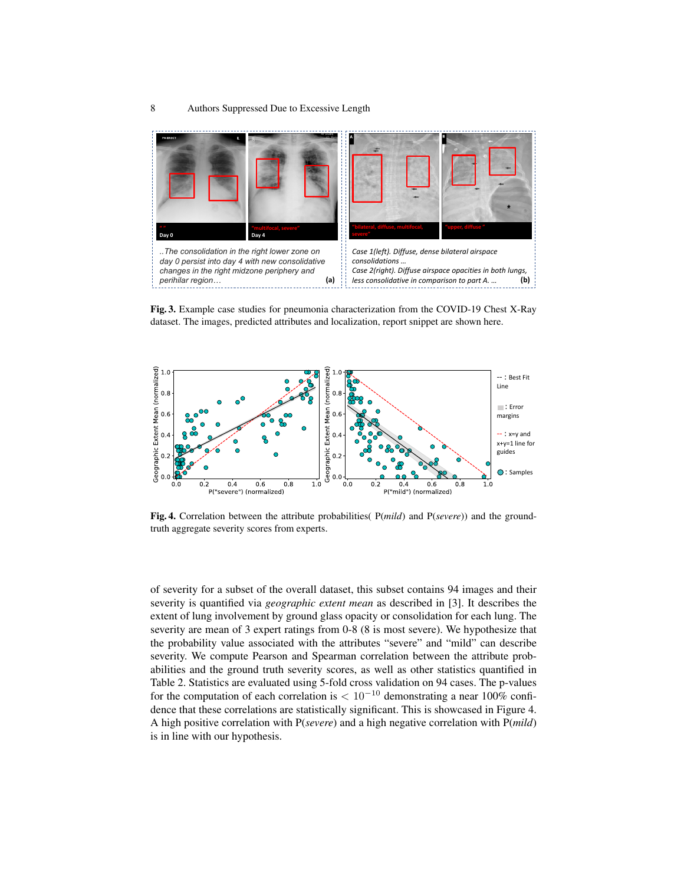

Fig. 3. Example case studies for pneumonia characterization from the COVID-19 Chest X-Ray dataset. The images, predicted attributes and localization, report snippet are shown here.



Fig. 4. Correlation between the attribute probabilities( P(*mild*) and P(*severe*)) and the groundtruth aggregate severity scores from experts.

of severity for a subset of the overall dataset, this subset contains 94 images and their severity is quantified via *geographic extent mean* as described in [3]. It describes the extent of lung involvement by ground glass opacity or consolidation for each lung. The severity are mean of 3 expert ratings from 0-8 (8 is most severe). We hypothesize that the probability value associated with the attributes "severe" and "mild" can describe severity. We compute Pearson and Spearman correlation between the attribute probabilities and the ground truth severity scores, as well as other statistics quantified in Table 2. Statistics are evaluated using 5-fold cross validation on 94 cases. The p-values for the computation of each correlation is  $< 10^{-10}$  demonstrating a near 100% confidence that these correlations are statistically significant. This is showcased in Figure 4. A high positive correlation with P(*severe*) and a high negative correlation with P(*mild*) is in line with our hypothesis.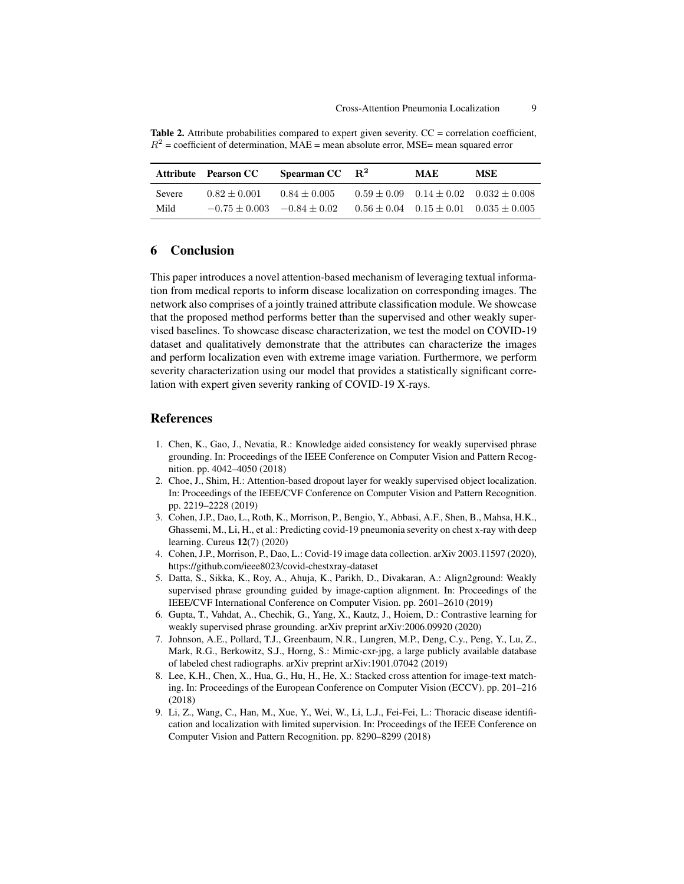|        | <b>Attribute</b> Pearson CC  | Spearman $CC \t R^2$ | MAE | <b>MSE</b>                                  |
|--------|------------------------------|----------------------|-----|---------------------------------------------|
| Severe | $0.82 \pm 0.001$             | $0.84 + 0.005$       |     | $0.59 + 0.09$ $0.14 + 0.02$ $0.032 + 0.008$ |
| Mild   | $-0.75 + 0.003 -0.84 + 0.02$ |                      |     | $0.56 + 0.04$ $0.15 + 0.01$ $0.035 + 0.005$ |

Table 2. Attribute probabilities compared to expert given severity. CC = correlation coefficient,  $R^2$  = coefficient of determination, MAE = mean absolute error, MSE= mean squared error

# 6 Conclusion

This paper introduces a novel attention-based mechanism of leveraging textual information from medical reports to inform disease localization on corresponding images. The network also comprises of a jointly trained attribute classification module. We showcase that the proposed method performs better than the supervised and other weakly supervised baselines. To showcase disease characterization, we test the model on COVID-19 dataset and qualitatively demonstrate that the attributes can characterize the images and perform localization even with extreme image variation. Furthermore, we perform severity characterization using our model that provides a statistically significant correlation with expert given severity ranking of COVID-19 X-rays.

## References

- 1. Chen, K., Gao, J., Nevatia, R.: Knowledge aided consistency for weakly supervised phrase grounding. In: Proceedings of the IEEE Conference on Computer Vision and Pattern Recognition. pp. 4042–4050 (2018)
- 2. Choe, J., Shim, H.: Attention-based dropout layer for weakly supervised object localization. In: Proceedings of the IEEE/CVF Conference on Computer Vision and Pattern Recognition. pp. 2219–2228 (2019)
- 3. Cohen, J.P., Dao, L., Roth, K., Morrison, P., Bengio, Y., Abbasi, A.F., Shen, B., Mahsa, H.K., Ghassemi, M., Li, H., et al.: Predicting covid-19 pneumonia severity on chest x-ray with deep learning. Cureus 12(7) (2020)
- 4. Cohen, J.P., Morrison, P., Dao, L.: Covid-19 image data collection. arXiv 2003.11597 (2020), https://github.com/ieee8023/covid-chestxray-dataset
- 5. Datta, S., Sikka, K., Roy, A., Ahuja, K., Parikh, D., Divakaran, A.: Align2ground: Weakly supervised phrase grounding guided by image-caption alignment. In: Proceedings of the IEEE/CVF International Conference on Computer Vision. pp. 2601–2610 (2019)
- 6. Gupta, T., Vahdat, A., Chechik, G., Yang, X., Kautz, J., Hoiem, D.: Contrastive learning for weakly supervised phrase grounding. arXiv preprint arXiv:2006.09920 (2020)
- 7. Johnson, A.E., Pollard, T.J., Greenbaum, N.R., Lungren, M.P., Deng, C.y., Peng, Y., Lu, Z., Mark, R.G., Berkowitz, S.J., Horng, S.: Mimic-cxr-jpg, a large publicly available database of labeled chest radiographs. arXiv preprint arXiv:1901.07042 (2019)
- 8. Lee, K.H., Chen, X., Hua, G., Hu, H., He, X.: Stacked cross attention for image-text matching. In: Proceedings of the European Conference on Computer Vision (ECCV). pp. 201–216 (2018)
- 9. Li, Z., Wang, C., Han, M., Xue, Y., Wei, W., Li, L.J., Fei-Fei, L.: Thoracic disease identification and localization with limited supervision. In: Proceedings of the IEEE Conference on Computer Vision and Pattern Recognition. pp. 8290–8299 (2018)